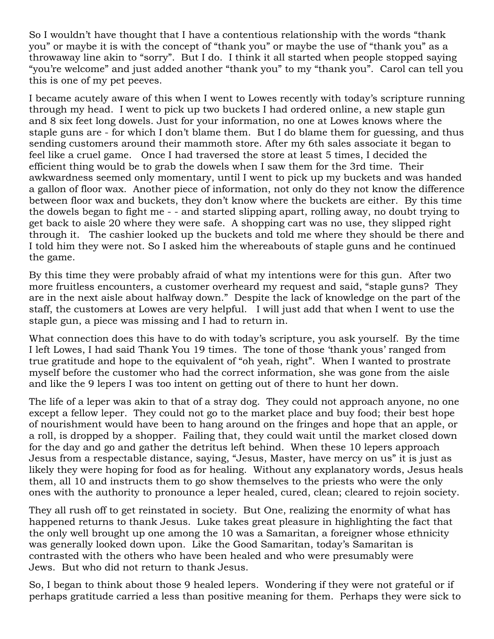So I wouldn't have thought that I have a contentious relationship with the words "thank you" or maybe it is with the concept of "thank you" or maybe the use of "thank you" as a throwaway line akin to "sorry". But I do. I think it all started when people stopped saying "you're welcome" and just added another "thank you" to my "thank you". Carol can tell you this is one of my pet peeves.

I became acutely aware of this when I went to Lowes recently with today's scripture running through my head. I went to pick up two buckets I had ordered online, a new staple gun and 8 six feet long dowels. Just for your information, no one at Lowes knows where the staple guns are - for which I don't blame them. But I do blame them for guessing, and thus sending customers around their mammoth store. After my 6th sales associate it began to feel like a cruel game. Once I had traversed the store at least 5 times, I decided the efficient thing would be to grab the dowels when I saw them for the 3rd time. Their awkwardness seemed only momentary, until I went to pick up my buckets and was handed a gallon of floor wax. Another piece of information, not only do they not know the difference between floor wax and buckets, they don't know where the buckets are either. By this time the dowels began to fight me - - and started slipping apart, rolling away, no doubt trying to get back to aisle 20 where they were safe. A shopping cart was no use, they slipped right through it. The cashier looked up the buckets and told me where they should be there and I told him they were not. So I asked him the whereabouts of staple guns and he continued the game.

By this time they were probably afraid of what my intentions were for this gun. After two more fruitless encounters, a customer overheard my request and said, "staple guns? They are in the next aisle about halfway down." Despite the lack of knowledge on the part of the staff, the customers at Lowes are very helpful. I will just add that when I went to use the staple gun, a piece was missing and I had to return in.

What connection does this have to do with today's scripture, you ask yourself. By the time I left Lowes, I had said Thank You 19 times. The tone of those 'thank yous' ranged from true gratitude and hope to the equivalent of "oh yeah, right". When I wanted to prostrate myself before the customer who had the correct information, she was gone from the aisle and like the 9 lepers I was too intent on getting out of there to hunt her down.

The life of a leper was akin to that of a stray dog. They could not approach anyone, no one except a fellow leper. They could not go to the market place and buy food; their best hope of nourishment would have been to hang around on the fringes and hope that an apple, or a roll, is dropped by a shopper. Failing that, they could wait until the market closed down for the day and go and gather the detritus left behind. When these 10 lepers approach Jesus from a respectable distance, saying, "Jesus, Master, have mercy on us" it is just as likely they were hoping for food as for healing. Without any explanatory words, Jesus heals them, all 10 and instructs them to go show themselves to the priests who were the only ones with the authority to pronounce a leper healed, cured, clean; cleared to rejoin society.

They all rush off to get reinstated in society. But One, realizing the enormity of what has happened returns to thank Jesus. Luke takes great pleasure in highlighting the fact that the only well brought up one among the 10 was a Samaritan, a foreigner whose ethnicity was generally looked down upon. Like the Good Samaritan, today's Samaritan is contrasted with the others who have been healed and who were presumably were Jews. But who did not return to thank Jesus.

So, I began to think about those 9 healed lepers. Wondering if they were not grateful or if perhaps gratitude carried a less than positive meaning for them. Perhaps they were sick to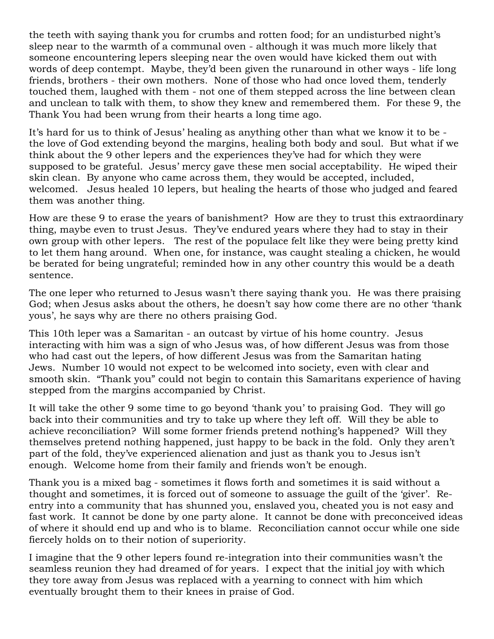the teeth with saying thank you for crumbs and rotten food; for an undisturbed night's sleep near to the warmth of a communal oven - although it was much more likely that someone encountering lepers sleeping near the oven would have kicked them out with words of deep contempt. Maybe, they'd been given the runaround in other ways - life long friends, brothers - their own mothers. None of those who had once loved them, tenderly touched them, laughed with them - not one of them stepped across the line between clean and unclean to talk with them, to show they knew and remembered them. For these 9, the Thank You had been wrung from their hearts a long time ago.

It's hard for us to think of Jesus' healing as anything other than what we know it to be the love of God extending beyond the margins, healing both body and soul. But what if we think about the 9 other lepers and the experiences they've had for which they were supposed to be grateful. Jesus' mercy gave these men social acceptability. He wiped their skin clean. By anyone who came across them, they would be accepted, included, welcomed. Jesus healed 10 lepers, but healing the hearts of those who judged and feared them was another thing.

How are these 9 to erase the years of banishment? How are they to trust this extraordinary thing, maybe even to trust Jesus. They've endured years where they had to stay in their own group with other lepers. The rest of the populace felt like they were being pretty kind to let them hang around. When one, for instance, was caught stealing a chicken, he would be berated for being ungrateful; reminded how in any other country this would be a death sentence.

The one leper who returned to Jesus wasn't there saying thank you. He was there praising God; when Jesus asks about the others, he doesn't say how come there are no other 'thank yous', he says why are there no others praising God.

This 10th leper was a Samaritan - an outcast by virtue of his home country. Jesus interacting with him was a sign of who Jesus was, of how different Jesus was from those who had cast out the lepers, of how different Jesus was from the Samaritan hating Jews. Number 10 would not expect to be welcomed into society, even with clear and smooth skin. "Thank you" could not begin to contain this Samaritans experience of having stepped from the margins accompanied by Christ.

It will take the other 9 some time to go beyond 'thank you' to praising God. They will go back into their communities and try to take up where they left off. Will they be able to achieve reconciliation? Will some former friends pretend nothing's happened? Will they themselves pretend nothing happened, just happy to be back in the fold. Only they aren't part of the fold, they've experienced alienation and just as thank you to Jesus isn't enough. Welcome home from their family and friends won't be enough.

Thank you is a mixed bag - sometimes it flows forth and sometimes it is said without a thought and sometimes, it is forced out of someone to assuage the guilt of the 'giver'. Reentry into a community that has shunned you, enslaved you, cheated you is not easy and fast work. It cannot be done by one party alone. It cannot be done with preconceived ideas of where it should end up and who is to blame. Reconciliation cannot occur while one side fiercely holds on to their notion of superiority.

I imagine that the 9 other lepers found re-integration into their communities wasn't the seamless reunion they had dreamed of for years. I expect that the initial joy with which they tore away from Jesus was replaced with a yearning to connect with him which eventually brought them to their knees in praise of God.